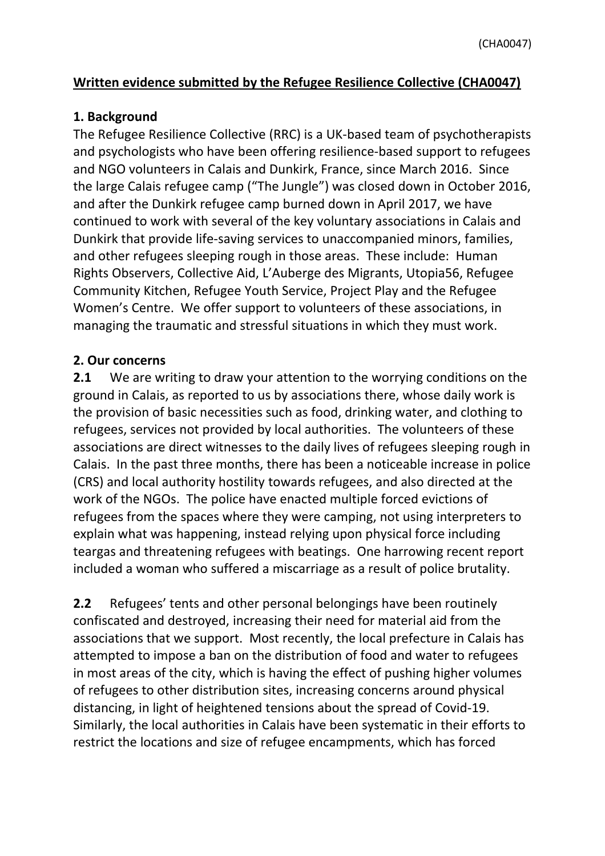## **Written evidence submitted by the Refugee Resilience Collective (CHA0047)**

## **1. Background**

The Refugee Resilience Collective (RRC) is a UK-based team of psychotherapists and psychologists who have been offering resilience-based support to refugees and NGO volunteers in Calais and Dunkirk, France, since March 2016. Since the large Calais refugee camp ("The Jungle") was closed down in October 2016, and after the Dunkirk refugee camp burned down in April 2017, we have continued to work with several of the key voluntary associations in Calais and Dunkirk that provide life-saving services to unaccompanied minors, families, and other refugees sleeping rough in those areas. These include: Human Rights Observers, Collective Aid, L'Auberge des Migrants, Utopia56, Refugee Community Kitchen, Refugee Youth Service, Project Play and the Refugee Women's Centre. We offer support to volunteers of these associations, in managing the traumatic and stressful situations in which they must work.

## **2. Our concerns**

**2.1** We are writing to draw your attention to the worrying conditions on the ground in Calais, as reported to us by associations there, whose daily work is the provision of basic necessities such as food, drinking water, and clothing to refugees, services not provided by local authorities. The volunteers of these associations are direct witnesses to the daily lives of refugees sleeping rough in Calais. In the past three months, there has been a noticeable increase in police (CRS) and local authority hostility towards refugees, and also directed at the work of the NGOs. The police have enacted multiple forced evictions of refugees from the spaces where they were camping, not using interpreters to explain what was happening, instead relying upon physical force including teargas and threatening refugees with beatings. One harrowing recent report included a woman who suffered a miscarriage as a result of police brutality.

**2.2** Refugees' tents and other personal belongings have been routinely confiscated and destroyed, increasing their need for material aid from the associations that we support. Most recently, the local prefecture in Calais has attempted to impose a ban on the distribution of food and water to refugees in most areas of the city, which is having the effect of pushing higher volumes of refugees to other distribution sites, increasing concerns around physical distancing, in light of heightened tensions about the spread of Covid-19. Similarly, the local authorities in Calais have been systematic in their efforts to restrict the locations and size of refugee encampments, which has forced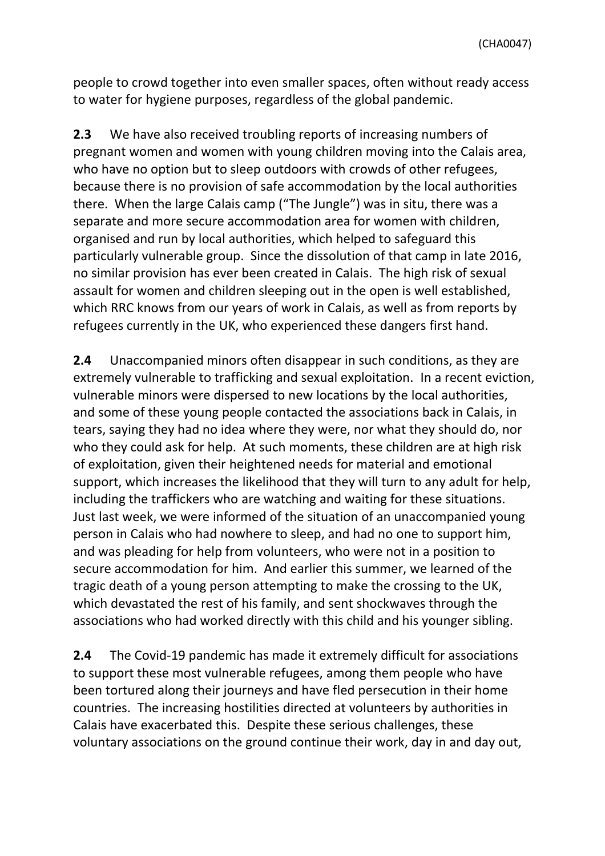people to crowd together into even smaller spaces, often without ready access to water for hygiene purposes, regardless of the global pandemic.

**2.3** We have also received troubling reports of increasing numbers of pregnant women and women with young children moving into the Calais area, who have no option but to sleep outdoors with crowds of other refugees, because there is no provision of safe accommodation by the local authorities there. When the large Calais camp ("The Jungle") was in situ, there was a separate and more secure accommodation area for women with children, organised and run by local authorities, which helped to safeguard this particularly vulnerable group. Since the dissolution of that camp in late 2016, no similar provision has ever been created in Calais. The high risk of sexual assault for women and children sleeping out in the open is well established, which RRC knows from our years of work in Calais, as well as from reports by refugees currently in the UK, who experienced these dangers first hand.

**2.4** Unaccompanied minors often disappear in such conditions, as they are extremely vulnerable to trafficking and sexual exploitation. In a recent eviction, vulnerable minors were dispersed to new locations by the local authorities, and some of these young people contacted the associations back in Calais, in tears, saying they had no idea where they were, nor what they should do, nor who they could ask for help. At such moments, these children are at high risk of exploitation, given their heightened needs for material and emotional support, which increases the likelihood that they will turn to any adult for help, including the traffickers who are watching and waiting for these situations. Just last week, we were informed of the situation of an unaccompanied young person in Calais who had nowhere to sleep, and had no one to support him, and was pleading for help from volunteers, who were not in a position to secure accommodation for him. And earlier this summer, we learned of the tragic death of a young person attempting to make the crossing to the UK, which devastated the rest of his family, and sent shockwaves through the associations who had worked directly with this child and his younger sibling.

**2.4** The Covid-19 pandemic has made it extremely difficult for associations to support these most vulnerable refugees, among them people who have been tortured along their journeys and have fled persecution in their home countries. The increasing hostilities directed at volunteers by authorities in Calais have exacerbated this. Despite these serious challenges, these voluntary associations on the ground continue their work, day in and day out,